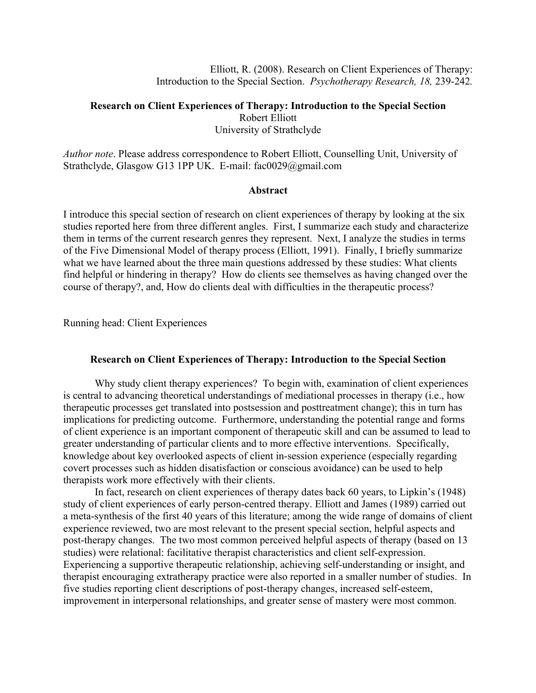Elliott, R. (2008). Research on Client Experiences of Therapy: Introduction to the Special Section. *Psychotherapy Research, 18,* 239-242*.*

# **Research on Client Experiences of Therapy: Introduction to the Special Section**  Robert Elliott University of Strathclyde

*Author note*. Please address correspondence to Robert Elliott, Counselling Unit, University of Strathclyde, Glasgow G13 1PP UK. E-mail: fac0029@gmail.com

# **Abstract**

I introduce this special section of research on client experiences of therapy by looking at the six studies reported here from three different angles. First, I summarize each study and characterize them in terms of the current research genres they represent. Next, I analyze the studies in terms of the Five Dimensional Model of therapy process (Elliott, 1991). Finally, I briefly summarize what we have learned about the three main questions addressed by these studies: What clients find helpful or hindering in therapy? How do clients see themselves as having changed over the course of therapy?, and, How do clients deal with difficulties in the therapeutic process?

Running head: Client Experiences

## **Research on Client Experiences of Therapy: Introduction to the Special Section**

Why study client therapy experiences? To begin with, examination of client experiences is central to advancing theoretical understandings of mediational processes in therapy (i.e., how therapeutic processes get translated into postsession and posttreatment change); this in turn has implications for predicting outcome. Furthermore, understanding the potential range and forms of client experience is an important component of therapeutic skill and can be assumed to lead to greater understanding of particular clients and to more effective interventions. Specifically, knowledge about key overlooked aspects of client in-session experience (especially regarding covert processes such as hidden disatisfaction or conscious avoidance) can be used to help therapists work more effectively with their clients.

In fact, research on client experiences of therapy dates back 60 years, to Lipkin's (1948) study of client experiences of early person-centred therapy. Elliott and James (1989) carried out a meta-synthesis of the first 40 years of this literature; among the wide range of domains of client experience reviewed, two are most relevant to the present special section, helpful aspects and post-therapy changes. The two most common perceived helpful aspects of therapy (based on 13 studies) were relational: facilitative therapist characteristics and client self-expression. Experiencing a supportive therapeutic relationship, achieving self-understanding or insight, and therapist encouraging extratherapy practice were also reported in a smaller number of studies. In five studies reporting client descriptions of post-therapy changes, increased self-esteem, improvement in interpersonal relationships, and greater sense of mastery were most common.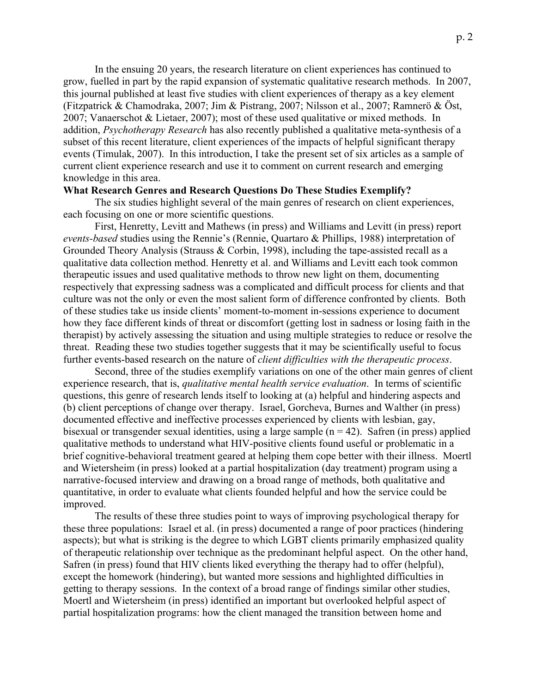In the ensuing 20 years, the research literature on client experiences has continued to grow, fuelled in part by the rapid expansion of systematic qualitative research methods. In 2007, this journal published at least five studies with client experiences of therapy as a key element (Fitzpatrick & Chamodraka, 2007; Jim & Pistrang, 2007; Nilsson et al., 2007; Ramnerö & Öst, 2007; Vanaerschot & Lietaer, 2007); most of these used qualitative or mixed methods. In addition, *Psychotherapy Research* has also recently published a qualitative meta-synthesis of a subset of this recent literature, client experiences of the impacts of helpful significant therapy events (Timulak, 2007). In this introduction, I take the present set of six articles as a sample of current client experience research and use it to comment on current research and emerging knowledge in this area.

### **What Research Genres and Research Questions Do These Studies Exemplify?**

The six studies highlight several of the main genres of research on client experiences, each focusing on one or more scientific questions.

First, Henretty, Levitt and Mathews (in press) and Williams and Levitt (in press) report *events-based* studies using the Rennie's (Rennie, Quartaro & Phillips, 1988) interpretation of Grounded Theory Analysis (Strauss & Corbin, 1998), including the tape-assisted recall as a qualitative data collection method. Henretty et al. and Williams and Levitt each took common therapeutic issues and used qualitative methods to throw new light on them, documenting respectively that expressing sadness was a complicated and difficult process for clients and that culture was not the only or even the most salient form of difference confronted by clients. Both of these studies take us inside clients' moment-to-moment in-sessions experience to document how they face different kinds of threat or discomfort (getting lost in sadness or losing faith in the therapist) by actively assessing the situation and using multiple strategies to reduce or resolve the threat. Reading these two studies together suggests that it may be scientifically useful to focus further events-based research on the nature of *client difficulties with the therapeutic process*.

Second, three of the studies exemplify variations on one of the other main genres of client experience research, that is, *qualitative mental health service evaluation*. In terms of scientific questions, this genre of research lends itself to looking at (a) helpful and hindering aspects and (b) client perceptions of change over therapy. Israel, Gorcheva, Burnes and Walther (in press) documented effective and ineffective processes experienced by clients with lesbian, gay, bisexual or transgender sexual identities, using a large sample  $(n = 42)$ . Safren (in press) applied qualitative methods to understand what HIV-positive clients found useful or problematic in a brief cognitive-behavioral treatment geared at helping them cope better with their illness. Moertl and Wietersheim (in press) looked at a partial hospitalization (day treatment) program using a narrative-focused interview and drawing on a broad range of methods, both qualitative and quantitative, in order to evaluate what clients founded helpful and how the service could be improved.

The results of these three studies point to ways of improving psychological therapy for these three populations: Israel et al. (in press) documented a range of poor practices (hindering aspects); but what is striking is the degree to which LGBT clients primarily emphasized quality of therapeutic relationship over technique as the predominant helpful aspect. On the other hand, Safren (in press) found that HIV clients liked everything the therapy had to offer (helpful), except the homework (hindering), but wanted more sessions and highlighted difficulties in getting to therapy sessions. In the context of a broad range of findings similar other studies, Moertl and Wietersheim (in press) identified an important but overlooked helpful aspect of partial hospitalization programs: how the client managed the transition between home and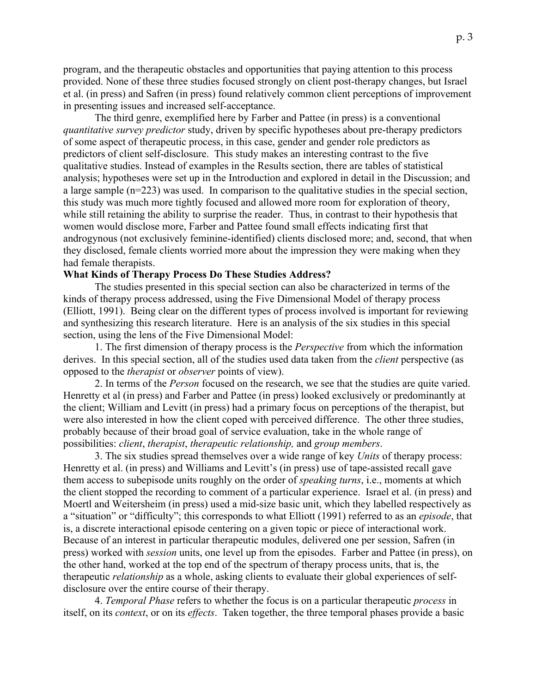program, and the therapeutic obstacles and opportunities that paying attention to this process provided. None of these three studies focused strongly on client post-therapy changes, but Israel et al. (in press) and Safren (in press) found relatively common client perceptions of improvement in presenting issues and increased self-acceptance.

The third genre, exemplified here by Farber and Pattee (in press) is a conventional *quantitative survey predictor* study, driven by specific hypotheses about pre-therapy predictors of some aspect of therapeutic process, in this case, gender and gender role predictors as predictors of client self-disclosure. This study makes an interesting contrast to the five qualitative studies. Instead of examples in the Results section, there are tables of statistical analysis; hypotheses were set up in the Introduction and explored in detail in the Discussion; and a large sample (n=223) was used. In comparison to the qualitative studies in the special section, this study was much more tightly focused and allowed more room for exploration of theory, while still retaining the ability to surprise the reader. Thus, in contrast to their hypothesis that women would disclose more, Farber and Pattee found small effects indicating first that androgynous (not exclusively feminine-identified) clients disclosed more; and, second, that when they disclosed, female clients worried more about the impression they were making when they had female therapists.

# **What Kinds of Therapy Process Do These Studies Address?**

The studies presented in this special section can also be characterized in terms of the kinds of therapy process addressed, using the Five Dimensional Model of therapy process (Elliott, 1991). Being clear on the different types of process involved is important for reviewing and synthesizing this research literature. Here is an analysis of the six studies in this special section, using the lens of the Five Dimensional Model:

1. The first dimension of therapy process is the *Perspective* from which the information derives. In this special section, all of the studies used data taken from the *client* perspective (as opposed to the *therapist* or *observer* points of view).

2. In terms of the *Person* focused on the research, we see that the studies are quite varied. Henretty et al (in press) and Farber and Pattee (in press) looked exclusively or predominantly at the client; William and Levitt (in press) had a primary focus on perceptions of the therapist, but were also interested in how the client coped with perceived difference. The other three studies, probably because of their broad goal of service evaluation, take in the whole range of possibilities: *client*, *therapist*, *therapeutic relationship,* and *group members*.

3. The six studies spread themselves over a wide range of key *Units* of therapy process: Henretty et al. (in press) and Williams and Levitt's (in press) use of tape-assisted recall gave them access to subepisode units roughly on the order of *speaking turns*, i.e., moments at which the client stopped the recording to comment of a particular experience. Israel et al. (in press) and Moertl and Weitersheim (in press) used a mid-size basic unit, which they labelled respectively as a "situation" or "difficulty"; this corresponds to what Elliott (1991) referred to as an *episode*, that is, a discrete interactional episode centering on a given topic or piece of interactional work. Because of an interest in particular therapeutic modules, delivered one per session, Safren (in press) worked with *session* units, one level up from the episodes. Farber and Pattee (in press), on the other hand, worked at the top end of the spectrum of therapy process units, that is, the therapeutic *relationship* as a whole, asking clients to evaluate their global experiences of selfdisclosure over the entire course of their therapy.

4. *Temporal Phase* refers to whether the focus is on a particular therapeutic *process* in itself, on its *context*, or on its *effects*. Taken together, the three temporal phases provide a basic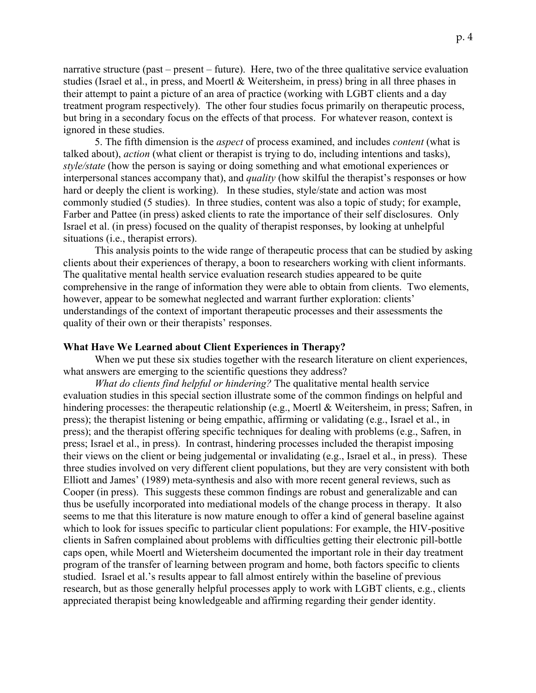narrative structure (past – present – future). Here, two of the three qualitative service evaluation studies (Israel et al., in press, and Moertl & Weitersheim, in press) bring in all three phases in their attempt to paint a picture of an area of practice (working with LGBT clients and a day treatment program respectively). The other four studies focus primarily on therapeutic process, but bring in a secondary focus on the effects of that process. For whatever reason, context is ignored in these studies.

5. The fifth dimension is the *aspect* of process examined, and includes *content* (what is talked about), *action* (what client or therapist is trying to do, including intentions and tasks), *style/state* (how the person is saying or doing something and what emotional experiences or interpersonal stances accompany that), and *quality* (how skilful the therapist's responses or how hard or deeply the client is working). In these studies, style/state and action was most commonly studied (5 studies). In three studies, content was also a topic of study; for example, Farber and Pattee (in press) asked clients to rate the importance of their self disclosures. Only Israel et al. (in press) focused on the quality of therapist responses, by looking at unhelpful situations (i.e., therapist errors).

This analysis points to the wide range of therapeutic process that can be studied by asking clients about their experiences of therapy, a boon to researchers working with client informants. The qualitative mental health service evaluation research studies appeared to be quite comprehensive in the range of information they were able to obtain from clients. Two elements, however, appear to be somewhat neglected and warrant further exploration: clients' understandings of the context of important therapeutic processes and their assessments the quality of their own or their therapists' responses.

### **What Have We Learned about Client Experiences in Therapy?**

When we put these six studies together with the research literature on client experiences, what answers are emerging to the scientific questions they address?

*What do clients find helpful or hindering?* The qualitative mental health service evaluation studies in this special section illustrate some of the common findings on helpful and hindering processes: the therapeutic relationship (e.g., Moertl & Weitersheim, in press; Safren, in press); the therapist listening or being empathic, affirming or validating (e.g., Israel et al., in press); and the therapist offering specific techniques for dealing with problems (e.g., Safren, in press; Israel et al., in press). In contrast, hindering processes included the therapist imposing their views on the client or being judgemental or invalidating (e.g., Israel et al., in press). These three studies involved on very different client populations, but they are very consistent with both Elliott and James' (1989) meta-synthesis and also with more recent general reviews, such as Cooper (in press). This suggests these common findings are robust and generalizable and can thus be usefully incorporated into mediational models of the change process in therapy. It also seems to me that this literature is now mature enough to offer a kind of general baseline against which to look for issues specific to particular client populations: For example, the HIV-positive clients in Safren complained about problems with difficulties getting their electronic pill-bottle caps open, while Moertl and Wietersheim documented the important role in their day treatment program of the transfer of learning between program and home, both factors specific to clients studied. Israel et al.'s results appear to fall almost entirely within the baseline of previous research, but as those generally helpful processes apply to work with LGBT clients, e.g., clients appreciated therapist being knowledgeable and affirming regarding their gender identity.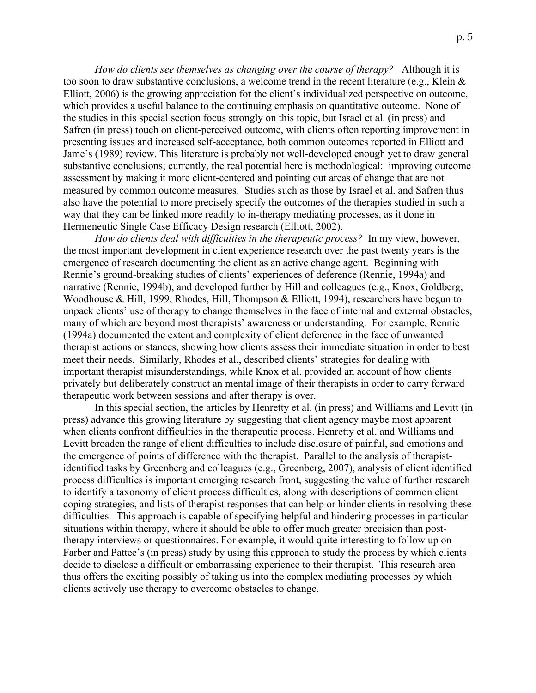*How do clients see themselves as changing over the course of therapy?* Although it is too soon to draw substantive conclusions, a welcome trend in the recent literature (e.g., Klein & Elliott, 2006) is the growing appreciation for the client's individualized perspective on outcome, which provides a useful balance to the continuing emphasis on quantitative outcome. None of the studies in this special section focus strongly on this topic, but Israel et al. (in press) and Safren (in press) touch on client-perceived outcome, with clients often reporting improvement in presenting issues and increased self-acceptance, both common outcomes reported in Elliott and Jame's (1989) review. This literature is probably not well-developed enough yet to draw general substantive conclusions; currently, the real potential here is methodological: improving outcome assessment by making it more client-centered and pointing out areas of change that are not measured by common outcome measures. Studies such as those by Israel et al. and Safren thus also have the potential to more precisely specify the outcomes of the therapies studied in such a way that they can be linked more readily to in-therapy mediating processes, as it done in Hermeneutic Single Case Efficacy Design research (Elliott, 2002).

*How do clients deal with difficulties in the therapeutic process?* In my view, however, the most important development in client experience research over the past twenty years is the emergence of research documenting the client as an active change agent. Beginning with Rennie's ground-breaking studies of clients' experiences of deference (Rennie, 1994a) and narrative (Rennie, 1994b), and developed further by Hill and colleagues (e.g., Knox, Goldberg, Woodhouse & Hill, 1999; Rhodes, Hill, Thompson & Elliott, 1994), researchers have begun to unpack clients' use of therapy to change themselves in the face of internal and external obstacles, many of which are beyond most therapists' awareness or understanding. For example, Rennie (1994a) documented the extent and complexity of client deference in the face of unwanted therapist actions or stances, showing how clients assess their immediate situation in order to best meet their needs. Similarly, Rhodes et al., described clients' strategies for dealing with important therapist misunderstandings, while Knox et al. provided an account of how clients privately but deliberately construct an mental image of their therapists in order to carry forward therapeutic work between sessions and after therapy is over.

In this special section, the articles by Henretty et al. (in press) and Williams and Levitt (in press) advance this growing literature by suggesting that client agency maybe most apparent when clients confront difficulties in the therapeutic process. Henretty et al. and Williams and Levitt broaden the range of client difficulties to include disclosure of painful, sad emotions and the emergence of points of difference with the therapist. Parallel to the analysis of therapistidentified tasks by Greenberg and colleagues (e.g., Greenberg, 2007), analysis of client identified process difficulties is important emerging research front, suggesting the value of further research to identify a taxonomy of client process difficulties, along with descriptions of common client coping strategies, and lists of therapist responses that can help or hinder clients in resolving these difficulties. This approach is capable of specifying helpful and hindering processes in particular situations within therapy, where it should be able to offer much greater precision than posttherapy interviews or questionnaires. For example, it would quite interesting to follow up on Farber and Pattee's (in press) study by using this approach to study the process by which clients decide to disclose a difficult or embarrassing experience to their therapist. This research area thus offers the exciting possibly of taking us into the complex mediating processes by which clients actively use therapy to overcome obstacles to change.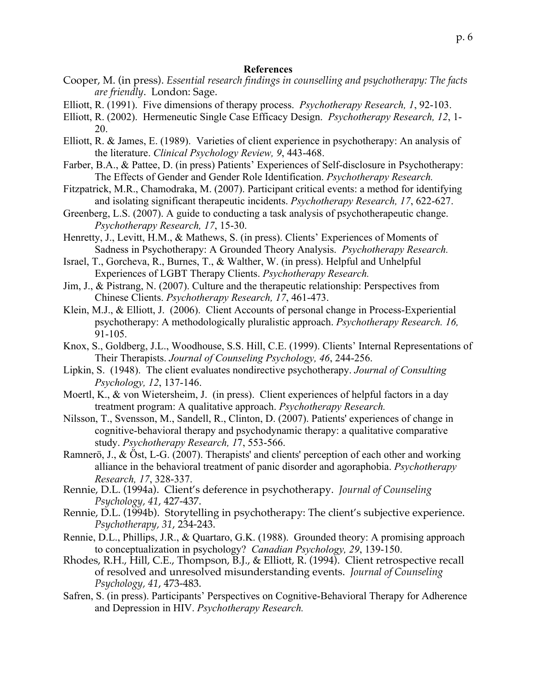### **References**

- Cooper, M. (in press). *Essential research findings in counselling and psychotherapy: The facts are friendly*. London: Sage.
- Elliott, R. (1991). Five dimensions of therapy process. *Psychotherapy Research, 1*, 92-103.
- Elliott, R. (2002). Hermeneutic Single Case Efficacy Design. *Psychotherapy Research, 12*, 1- 20.
- Elliott, R. & James, E. (1989). Varieties of client experience in psychotherapy: An analysis of the literature. *Clinical Psychology Review, 9*, 443-468.
- Farber, B.A., & Pattee, D. (in press) Patients' Experiences of Self-disclosure in Psychotherapy: The Effects of Gender and Gender Role Identification. *Psychotherapy Research.*
- Fitzpatrick, M.R., Chamodraka, M. (2007). Participant critical events: a method for identifying and isolating significant therapeutic incidents. *Psychotherapy Research, 17*, 622-627.
- Greenberg, L.S. (2007). A guide to conducting a task analysis of psychotherapeutic change. *Psychotherapy Research, 17*, 15-30.
- Henretty, J., Levitt, H.M., & Mathews, S. (in press). Clients' Experiences of Moments of Sadness in Psychotherapy: A Grounded Theory Analysis. *Psychotherapy Research.*
- Israel, T., Gorcheva, R., Burnes, T., & Walther, W. (in press). Helpful and Unhelpful Experiences of LGBT Therapy Clients. *Psychotherapy Research.*
- Jim, J., & Pistrang, N. (2007). Culture and the therapeutic relationship: Perspectives from Chinese Clients. *Psychotherapy Research, 17*, 461-473.
- Klein, M.J., & Elliott, J. (2006). Client Accounts of personal change in Process-Experiential psychotherapy: A methodologically pluralistic approach. *Psychotherapy Research. 16,* 91-105.
- Knox, S., Goldberg, J.L., Woodhouse, S.S. Hill, C.E. (1999). Clients' Internal Representations of Their Therapists. *Journal of Counseling Psychology, 46*, 244-256.
- Lipkin, S. (1948). The client evaluates nondirective psychotherapy. *Journal of Consulting Psychology, 12*, 137-146.
- Moertl, K., & von Wietersheim, J. (in press). Client experiences of helpful factors in a day treatment program: A qualitative approach. *Psychotherapy Research.*
- Nilsson, T., Svensson, M., Sandell, R., Clinton, D. (2007). Patients' experiences of change in cognitive-behavioral therapy and psychodynamic therapy: a qualitative comparative study. *Psychotherapy Research, 1*7, 553-566.
- Ramnerö, J., & Öst, L-G. (2007). Therapists' and clients' perception of each other and working alliance in the behavioral treatment of panic disorder and agoraphobia. *Psychotherapy Research, 17*, 328-337.
- Rennie, D.L. (1994a). Client's deference in psychotherapy. *Journal of Counseling Psychology, 41*, 427-437.
- Rennie, D.L. (1994b). Storytelling in psychotherapy: The client's subjective experience. *Psychotherapy, 31*, 234-243.
- Rennie, D.L., Phillips, J.R., & Quartaro, G.K. (1988). Grounded theory: A promising approach to conceptualization in psychology? *Canadian Psychology, 29*, 139-150.
- Rhodes, R.H., Hill, C.E., Thompson, B.J., & Elliott, R. (1994). Client retrospective recall of resolved and unresolved misunderstanding events. *Journal of Counseling Psychology, 41*, 473-483.
- Safren, S. (in press). Participants' Perspectives on Cognitive-Behavioral Therapy for Adherence and Depression in HIV. *Psychotherapy Research.*